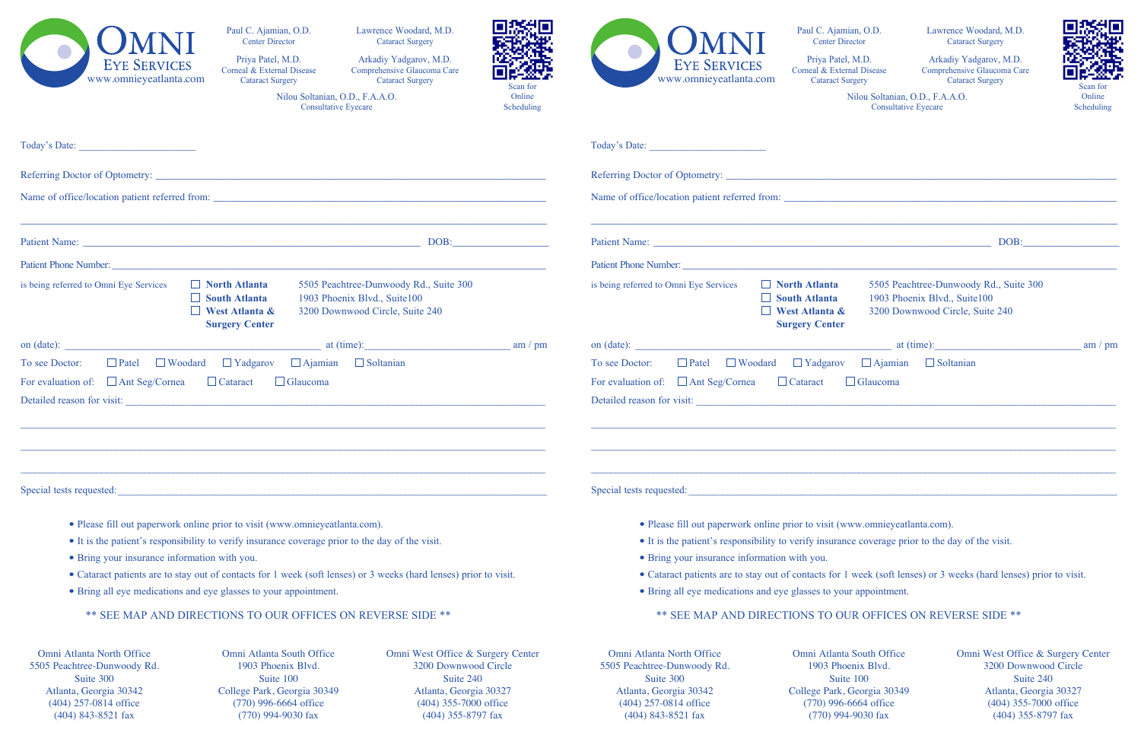| <b>EYE SERVICES</b><br>www.omnieyeatlanta.com                                                                                                                                   | Paul C. Ajamian, O.D.<br><b>Center Director</b><br>Priya Patel, M.D.<br>Corneal & External Disease<br><b>Cataract Surgery</b><br>Nilou Soltanian, O.D., F.A.A.O.<br><b>Consultative Eyecare</b> | Lawrence Woodard, M.D.<br><b>Cataract Surgery</b><br>Arkadiy Yadgarov, M.D.<br><b>GREEN</b><br>Comprehensive Glaucoma Care<br><b>Cataract Surgery</b><br>Scan for<br>Online<br>Scheduling |           | <b>EYE SERVICES</b><br>www.omnieyeatlanta.com                                                                     | Paul C. Ajamian, O.D.<br><b>Center Director</b><br>Priya Patel, M.D.<br>Corneal & External Disease<br><b>Cataract Surgery</b> | Nilou Soltanian, O.D., F.A.A.O.<br><b>Consultative Eyecare</b>  | Lawrence Woodard, M.D.<br><b>Cataract Surgery</b><br>Arkadiy Yadgarov, M.D.<br>Comprehensive Glaucoma Care<br><b>Cataract Surgery</b> | Scan for<br>Online<br>Scheduling |
|---------------------------------------------------------------------------------------------------------------------------------------------------------------------------------|-------------------------------------------------------------------------------------------------------------------------------------------------------------------------------------------------|-------------------------------------------------------------------------------------------------------------------------------------------------------------------------------------------|-----------|-------------------------------------------------------------------------------------------------------------------|-------------------------------------------------------------------------------------------------------------------------------|-----------------------------------------------------------------|---------------------------------------------------------------------------------------------------------------------------------------|----------------------------------|
|                                                                                                                                                                                 |                                                                                                                                                                                                 |                                                                                                                                                                                           |           |                                                                                                                   |                                                                                                                               |                                                                 |                                                                                                                                       |                                  |
|                                                                                                                                                                                 |                                                                                                                                                                                                 |                                                                                                                                                                                           |           |                                                                                                                   |                                                                                                                               |                                                                 |                                                                                                                                       |                                  |
| Name of office/location patient referred from:                                                                                                                                  |                                                                                                                                                                                                 |                                                                                                                                                                                           |           | Name of office/location patient referred from:                                                                    |                                                                                                                               |                                                                 |                                                                                                                                       |                                  |
| Patient Name: DOB: DOB:                                                                                                                                                         |                                                                                                                                                                                                 |                                                                                                                                                                                           |           | DOB:                                                                                                              |                                                                                                                               |                                                                 |                                                                                                                                       |                                  |
| Patient Phone Number:                                                                                                                                                           |                                                                                                                                                                                                 |                                                                                                                                                                                           |           | Patient Phone Number:                                                                                             |                                                                                                                               |                                                                 |                                                                                                                                       |                                  |
| is being referred to Omni Eye Services                                                                                                                                          | $\Box$ North Atlanta<br>$\Box$ South Atlanta<br><b>West Atlanta &amp;</b><br><b>Surgery Center</b>                                                                                              | 5505 Peachtree-Dunwoody Rd., Suite 300<br>1903 Phoenix Blvd., Suite100<br>3200 Downwood Circle, Suite 240                                                                                 |           | is being referred to Omni Eye Services                                                                            | $\Box$ North Atlanta<br>$\Box$ South Atlanta<br>$\Box$ West Atlanta &<br><b>Surgery Center</b>                                | 1903 Phoenix Blvd., Suite100<br>3200 Downwood Circle, Suite 240 | 5505 Peachtree-Dunwoody Rd., Suite 300                                                                                                |                                  |
| on (date):                                                                                                                                                                      |                                                                                                                                                                                                 | at (time):                                                                                                                                                                                | am / $pm$ | on (date):                                                                                                        |                                                                                                                               |                                                                 | at (time):                                                                                                                            | am / pm                          |
| $\Box$ Patel $\Box$ Woodard $\Box$ Yadgarov $\Box$ Ajamian $\Box$ Soltanian<br>To see Doctor:                                                                                   |                                                                                                                                                                                                 |                                                                                                                                                                                           |           | $\Box$ Patel $\Box$ Woodard $\Box$ Yadgarov $\Box$ Ajamian<br>$\Box$ Soltanian<br>To see Doctor:                  |                                                                                                                               |                                                                 |                                                                                                                                       |                                  |
| For evaluation of: $\Box$ Ant Seg/Cornea<br>$\Box$ Cataract<br>$\Box$ Glaucoma                                                                                                  |                                                                                                                                                                                                 |                                                                                                                                                                                           |           | For evaluation of: $\Box$ Ant Seg/Cornea<br>$\Box$ Cataract<br>$\Box$ Glaucoma                                    |                                                                                                                               |                                                                 |                                                                                                                                       |                                  |
|                                                                                                                                                                                 | Detailed reason for visit:                                                                                                                                                                      |                                                                                                                                                                                           |           | Detailed reason for visit:                                                                                        |                                                                                                                               |                                                                 |                                                                                                                                       |                                  |
|                                                                                                                                                                                 |                                                                                                                                                                                                 |                                                                                                                                                                                           |           |                                                                                                                   |                                                                                                                               |                                                                 |                                                                                                                                       |                                  |
| Special tests requested:                                                                                                                                                        |                                                                                                                                                                                                 |                                                                                                                                                                                           |           | Special tests requested:                                                                                          |                                                                                                                               |                                                                 |                                                                                                                                       |                                  |
|                                                                                                                                                                                 |                                                                                                                                                                                                 |                                                                                                                                                                                           |           | • Please fill out paperwork online prior to visit (www.omnieyeatlanta.com).                                       |                                                                                                                               |                                                                 |                                                                                                                                       |                                  |
| • Please fill out paperwork online prior to visit (www.omnieyeatlanta.com).<br>• It is the patient's responsibility to verify insurance coverage prior to the day of the visit. |                                                                                                                                                                                                 |                                                                                                                                                                                           |           | • It is the patient's responsibility to verify insurance coverage prior to the day of the visit.                  |                                                                                                                               |                                                                 |                                                                                                                                       |                                  |
| • Bring your insurance information with you.                                                                                                                                    |                                                                                                                                                                                                 |                                                                                                                                                                                           |           | • Bring your insurance information with you.                                                                      |                                                                                                                               |                                                                 |                                                                                                                                       |                                  |
| • Cataract patients are to stay out of contacts for 1 week (soft lenses) or 3 weeks (hard lenses) prior to visit.                                                               |                                                                                                                                                                                                 |                                                                                                                                                                                           |           | • Cataract patients are to stay out of contacts for 1 week (soft lenses) or 3 weeks (hard lenses) prior to visit. |                                                                                                                               |                                                                 |                                                                                                                                       |                                  |
| • Bring all eye medications and eye glasses to your appointment.                                                                                                                |                                                                                                                                                                                                 |                                                                                                                                                                                           |           | • Bring all eye medications and eye glasses to your appointment.                                                  |                                                                                                                               |                                                                 |                                                                                                                                       |                                  |
| ** SEE MAP AND DIRECTIONS TO OUR OFFICES ON REVERSE SIDE **                                                                                                                     |                                                                                                                                                                                                 |                                                                                                                                                                                           |           | ** SEE MAP AND DIRECTIONS TO OUR OFFICES ON REVERSE SIDE **                                                       |                                                                                                                               |                                                                 |                                                                                                                                       |                                  |
| Omni Atlanta North Office<br>5505 Peachtree-Dunwoody Rd.<br>Suite 300<br>Atlanta, Georgia 30342                                                                                 | Omni Atlanta South Office<br>1903 Phoenix Blvd.<br>Suite 100<br>College Park, Georgia 30349                                                                                                     | Omni West Office & Surgery Center<br>3200 Downwood Circle<br>Suite 240<br>Atlanta, Georgia 30327                                                                                          |           | Omni Atlanta North Office<br>5505 Peachtree-Dunwoody Rd.<br>Suite 300<br>Atlanta, Georgia 30342                   | Omni Atlanta South Office<br>1903 Phoenix Blvd.<br>Suite 100<br>College Park, Georgia 30349                                   |                                                                 | Omni West Office & Surgery Center<br>3200 Downwood Circle<br>Suite 240<br>Atlanta, Georgia 30327                                      |                                  |

Atlanta, Georgia 30342 (404) 257-0814 office (404) 843-8521 fax

College Park, Georgia 30349 (770) 996-6664 office (770) 994-9030 fax

Atlanta, Georgia 30327 (404) 355-7000 office (404) 355-8797 fax

(404) 257-0814 office (404) 843-8521 fax

College Park, Georgia 30349 (770) 996-6664 office (770) 994-9030 fax

Atlanta, Georgia 30327 (404) 355-7000 office (404) 355-8797 fax